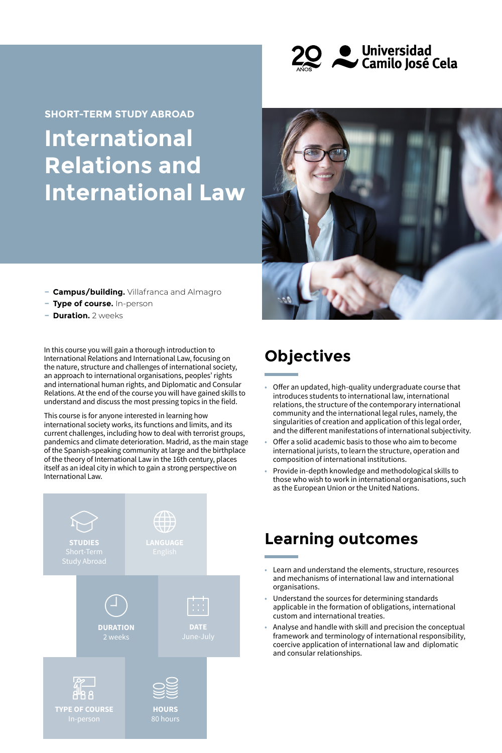

# **International Relations and International Law SHORT-TERM STUDY ABROAD**



- **− Campus/building.** Villafranca and Almagro
- **− Type of course.** In-person
- **− Duration.** 2 weeks

In this course you will gain a thorough introduction to International Relations and International Law, focusing on the nature, structure and challenges of international society, an approach to international organisations, peoples' rights and international human rights, and Diplomatic and Consular Relations. At the end of the course you will have gained skills to understand and discuss the most pressing topics in the field.

This course is for anyone interested in learning how international society works, its functions and limits, and its current challenges, including how to deal with terrorist groups, pandemics and climate deterioration. Madrid, as the main stage of the Spanish-speaking community at large and the birthplace of the theory of International Law in the 16th century, places itself as an ideal city in which to gain a strong perspective on International Law.



# **Objectives**

- Offer an updated, high-quality undergraduate course that introduces students to international law, international relations, the structure of the contemporary international community and the international legal rules, namely, the singularities of creation and application of this legal order, and the different manifestations of international subjectivity.
- Offer a solid academic basis to those who aim to become international jurists, to learn the structure, operation and composition of international institutions.
- Provide in-depth knowledge and methodological skills to those who wish to work in international organisations, such as the European Union or the United Nations.

### **Learning outcomes**

- Learn and understand the elements, structure, resources and mechanisms of international law and international organisations.
- Understand the sources for determining standards applicable in the formation of obligations, international custom and international treaties.
- Analyse and handle with skill and precision the conceptual framework and terminology of international responsibility, coercive application of international law and diplomatic and consular relationships.